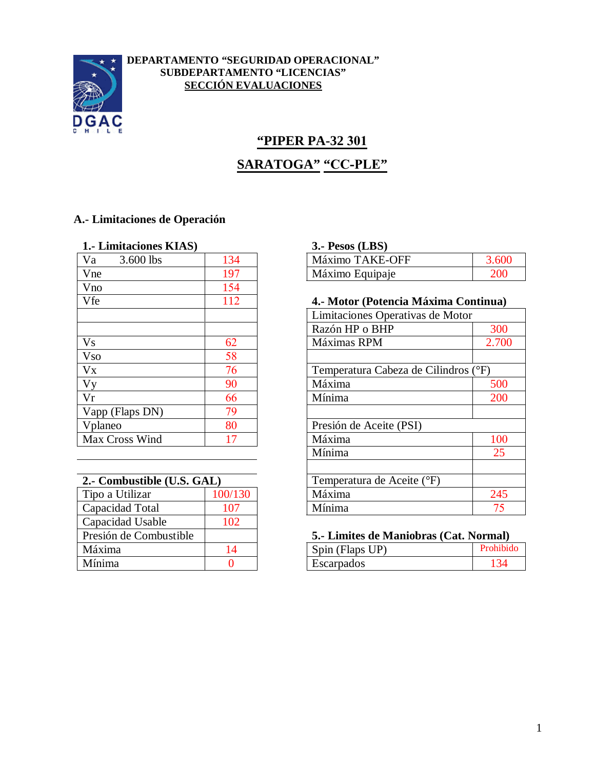

## **DEPARTAMENTO "SEGURIDAD OPERACIONAL" SUBDEPARTAMENTO "LICENCIAS" SECCIÓN EVALUACIONES**

# **"PIPER PA-32 301 SARATOGA" "CC-PLE"**

# **A.- Limitaciones de Operación**

| Máximo TAKE-OFF<br>Va<br>3.600 lbs<br>134<br>197<br>Máximo Equipaje<br>Vne<br>154<br>Vno<br>112<br>Vfe<br>Razón HP o BHP<br><b>Vs</b><br>62<br>Máximas RPM<br>58<br><b>Vso</b><br>$V_{X}$<br>76<br>Máxima<br>Vy<br>90<br>Vr<br>Mínima<br>66<br>79<br>Vapp (Flaps DN)<br>80<br>Vplaneo | 1. Limitaciones KIAS) | $3.$ - Pesos (LBS)      |
|---------------------------------------------------------------------------------------------------------------------------------------------------------------------------------------------------------------------------------------------------------------------------------------|-----------------------|-------------------------|
|                                                                                                                                                                                                                                                                                       |                       |                         |
|                                                                                                                                                                                                                                                                                       |                       |                         |
|                                                                                                                                                                                                                                                                                       |                       |                         |
|                                                                                                                                                                                                                                                                                       |                       | 4.- Motor (Potencia Ma  |
|                                                                                                                                                                                                                                                                                       |                       | Limitaciones Operativas |
|                                                                                                                                                                                                                                                                                       |                       |                         |
|                                                                                                                                                                                                                                                                                       |                       |                         |
|                                                                                                                                                                                                                                                                                       |                       |                         |
|                                                                                                                                                                                                                                                                                       |                       | Temperatura Cabeza de   |
|                                                                                                                                                                                                                                                                                       |                       |                         |
|                                                                                                                                                                                                                                                                                       |                       |                         |
|                                                                                                                                                                                                                                                                                       |                       |                         |
|                                                                                                                                                                                                                                                                                       |                       | Presión de Aceite (PSI) |
| Máxima<br>Max Cross Wind<br>17                                                                                                                                                                                                                                                        |                       |                         |

| 2.- Combustible (U.S. GAL) | Temperatura de Aceite (°F) |
|----------------------------|----------------------------|
| 100/130                    | Máxima                     |
| 107                        | Mínima                     |
| 102                        |                            |
|                            | 5.- Limites de Maniobras ( |
| 14                         | Spin (Flaps UP)            |
|                            | Escarpados                 |
|                            |                            |

#### **1.- Limitaciones KIAS) 3.- Pesos (LBS)**

| Va  | 3.600 lbs | $\sqrt{2}$<br>.34 | AKE-OFF<br>Máximo <sup>1</sup> |     |
|-----|-----------|-------------------|--------------------------------|-----|
| Vne |           | $\sqrt{2}$        | Máximo Equipaje                | 200 |

#### Vfe 112 **4.- Motor (Potencia Máxima Continua)**

|                            |         |                                      | Limitaciones Operativas de Motor |  |
|----------------------------|---------|--------------------------------------|----------------------------------|--|
|                            |         | Razón HP o BHP                       | 300                              |  |
| V <sub>S</sub>             | 62      | Máximas RPM                          | 2.700                            |  |
| <b>Vso</b>                 | 58      |                                      |                                  |  |
| $\overline{VX}$            | 76      | Temperatura Cabeza de Cilindros (°F) |                                  |  |
| $\overline{Vy}$            | 90      | Máxima                               | 500                              |  |
| $\overline{\text{Vr}}$     | 66      | Mínima                               | 200                              |  |
| Vapp (Flaps DN)            | 79      |                                      |                                  |  |
| Vplaneo                    | 80      | Presión de Aceite (PSI)              |                                  |  |
| Max Cross Wind             |         | Máxima                               | 100                              |  |
|                            |         | Mínima                               | 25                               |  |
|                            |         |                                      |                                  |  |
| 2.- Combustible (U.S. GAL) |         | Temperatura de Aceite (°F)           |                                  |  |
| Tipo a Utilizar            | 100/130 | Máxima                               | 245                              |  |
| Capacidad Total            | 107     | Mínima                               | 75                               |  |
|                            |         |                                      |                                  |  |

#### Presión de Combustible **5.- Limites de Maniobras (Cat. Normal)**

| ____<br>. | ___<br>.<br>_____<br>________ | _____  |
|-----------|-------------------------------|--------|
| Máxima    | T<br>Flaps<br>`pin<br>ぃ<br>◡▴ |        |
| Mínima    | Escal pagos                   | $\sim$ |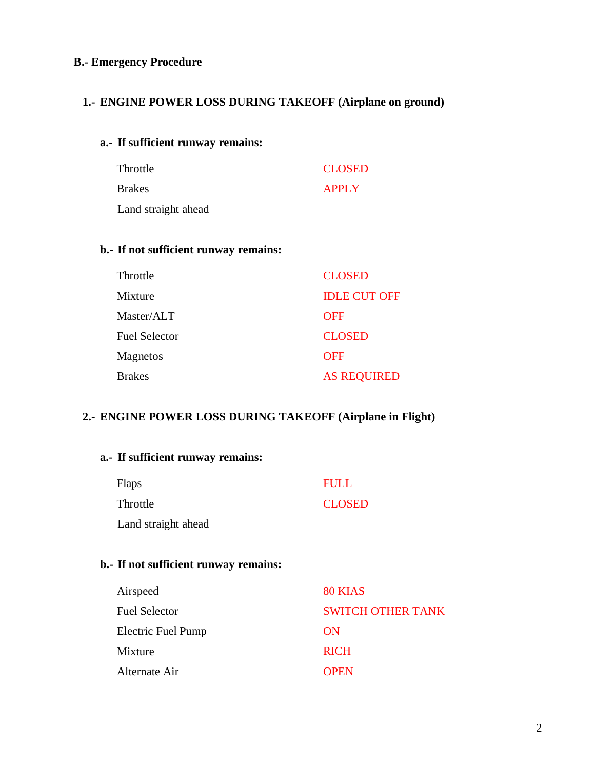# **B.- Emergency Procedure**

# **1.- ENGINE POWER LOSS DURING TAKEOFF (Airplane on ground)**

#### **a.- If sufficient runway remains:**

| Throttle            | <b>CLOSED</b> |
|---------------------|---------------|
| <b>Brakes</b>       | <b>APPLY</b>  |
| Land straight ahead |               |

## **b.- If not sufficient runway remains:**

| Throttle             | <b>CLOSED</b>       |
|----------------------|---------------------|
| Mixture              | <b>IDLE CUT OFF</b> |
| Master/ALT           | <b>OFF</b>          |
| <b>Fuel Selector</b> | <b>CLOSED</b>       |
| Magnetos             | <b>OFF</b>          |
| <b>Brakes</b>        | <b>AS REQUIRED</b>  |

#### **2.- ENGINE POWER LOSS DURING TAKEOFF (Airplane in Flight)**

# **a.- If sufficient runway remains:** Flaps Throttle Land straight ahead FULL CLOSED

# **b.- If not sufficient runway remains:**

| Airspeed             | 80 KIAS                  |
|----------------------|--------------------------|
| <b>Fuel Selector</b> | <b>SWITCH OTHER TANK</b> |
| Electric Fuel Pump   | ON                       |
| Mixture              | <b>RICH</b>              |
| Alternate Air        | <b>OPEN</b>              |